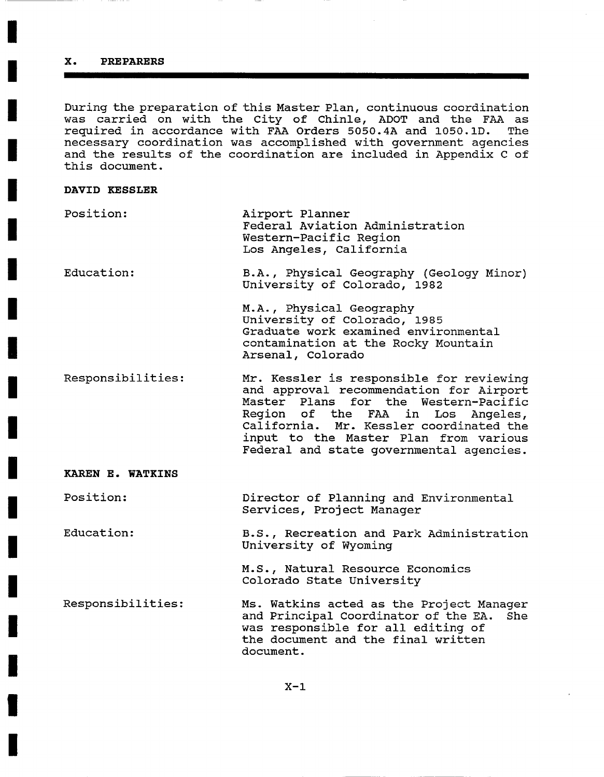# **X. PREPARERS**

During the preparation of this Master Plan, continuous coordination was carried on with the City of Chinle, ADOT and the FAA as<br>required in accordance with FAA Orders 5050.4A and 1050.1D. The required in accordance with FAA Orders 5050.4A and 1050.1D. necessary coordination was accomplished with government agencies and the results of the coordination are included in Appendix C of this document.

## **DAVID KESSLER**

| Position:  | Airport Planner<br>Federal Aviation Administration<br>Western-Pacific Region<br>Los Angeles, California                                                      |
|------------|--------------------------------------------------------------------------------------------------------------------------------------------------------------|
| Education: | B.A., Physical Geography (Geology Minor)<br>University of Colorado, 1982                                                                                     |
|            | M.A., Physical Geography<br>University of Colorado, 1985<br>Graduate work examined environmental<br>contamination at the Rocky Mountain<br>Arsenal, Colorado |

Responsibilities: Mr. Kessler is responsible for reviewing and approval recommendation for Airport Master Plans for the Western-Pacific Region of the FAA in Los Angeles, California. Mr. Kessler coordinated the input to the Master Plan from various Federal and state governmental agencies.

# **KAREN E. WATKINS**

Position: Director of Planning and Environmental Services, Project Manager

Education: B.S., Recreation and Park Administration University of Wyoming

> **M.S.,** Natural Resource Economics Colorado State University

Responsibilities: Ms. Watkins acted as the Project Manager and Principal Coordinator of the EA. She was responsible for all editing of the document and the final written document.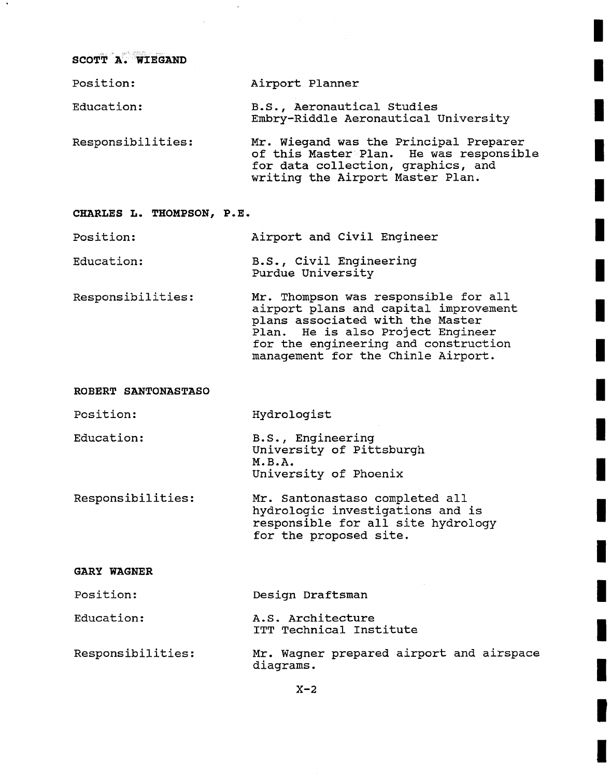**SCOTT A;. wIEGAND** 

| Position:         | Airport Planner                                                                                                                                             |
|-------------------|-------------------------------------------------------------------------------------------------------------------------------------------------------------|
| Education:        | B.S., Aeronautical Studies<br>Embry-Riddle Aeronautical University                                                                                          |
| Responsibilities: | Mr. Wieqand was the Principal Preparer<br>of this Master Plan. He was responsible<br>for data collection, graphics, and<br>writing the Airport Master Plan. |

### **CHARLES L. THOMPSON, P.E.**

Position: Airport and Civil Engineer

Education: B.S., Civil Engineering Purdue University

Responsibilities: Mr. Thompson was responsible for all airport plans and capital improvement plans associated with the Master Plan. He is also Project Engineer for the engineering and construction management for the Chinle Airport.

Hydrologist

#### **ROBERT SANTONASTASO**

Position:

Education:

- B.S., Engineering University of Pittsburgh **M.B.A.**  University of Phoenix
- Responsibilities: Mr. Santonastaso completed all hydrologic investigations and is responsible for all site hydrology for the proposed site.

## **GARY WAGNER**

Position: Design Draftsman

- Education: A.S. Architecture ITT Technical Institute
- Responsibilities: Mr. Wagner prepared airport and airspace diagrams.